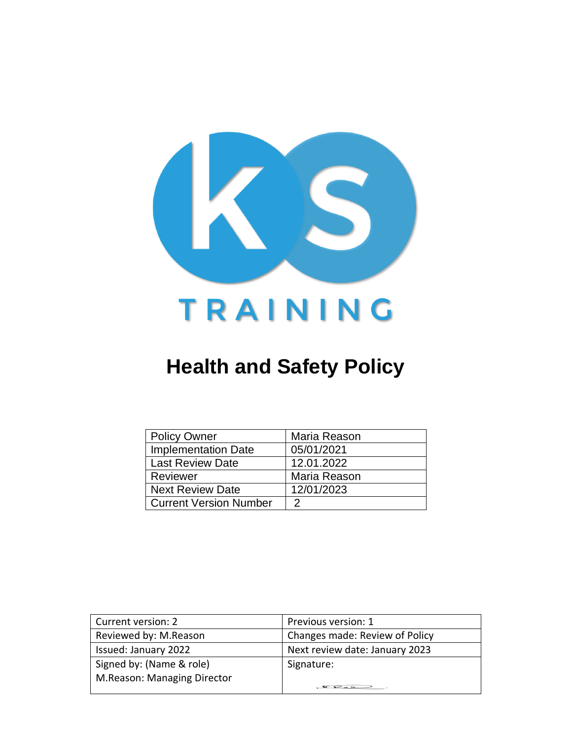

# **Health and Safety Policy**

| <b>Policy Owner</b>           | Maria Reason |
|-------------------------------|--------------|
| <b>Implementation Date</b>    | 05/01/2021   |
| <b>Last Review Date</b>       | 12.01.2022   |
| Reviewer                      | Maria Reason |
| <b>Next Review Date</b>       | 12/01/2023   |
| <b>Current Version Number</b> | 2            |

| Current version: 2          | Previous version: 1                         |
|-----------------------------|---------------------------------------------|
| Reviewed by: M.Reason       | Changes made: Review of Policy              |
| Issued: January 2022        | Next review date: January 2023              |
| Signed by: (Name & role)    | Signature:                                  |
| M.Reason: Managing Director |                                             |
|                             | $\sigma$ $\sim$ $\sim$ $\sim$ $\sim$ $\sim$ |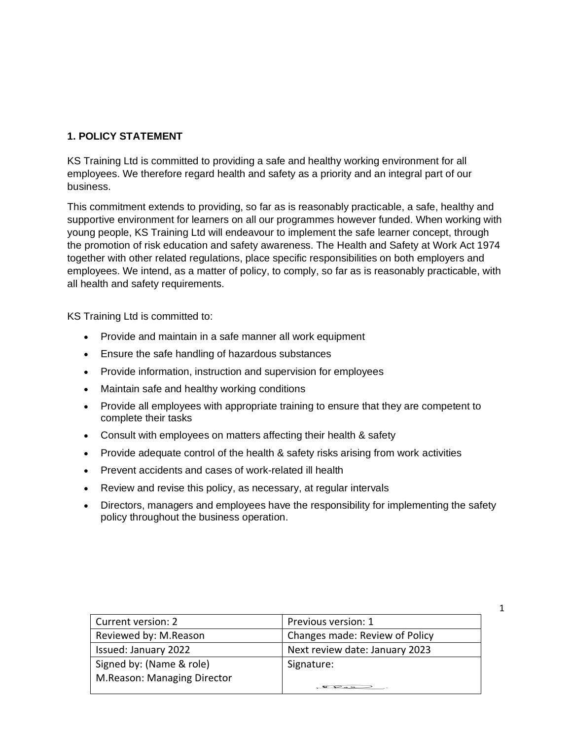# **1. POLICY STATEMENT**

KS Training Ltd is committed to providing a safe and healthy working environment for all employees. We therefore regard health and safety as a priority and an integral part of our business.

This commitment extends to providing, so far as is reasonably practicable, a safe, healthy and supportive environment for learners on all our programmes however funded. When working with young people, KS Training Ltd will endeavour to implement the safe learner concept, through the promotion of risk education and safety awareness. The Health and Safety at Work Act 1974 together with other related regulations, place specific responsibilities on both employers and employees. We intend, as a matter of policy, to comply, so far as is reasonably practicable, with all health and safety requirements.

KS Training Ltd is committed to:

- Provide and maintain in a safe manner all work equipment
- Ensure the safe handling of hazardous substances
- Provide information, instruction and supervision for employees
- Maintain safe and healthy working conditions
- Provide all employees with appropriate training to ensure that they are competent to complete their tasks
- Consult with employees on matters affecting their health & safety
- Provide adequate control of the health & safety risks arising from work activities
- Prevent accidents and cases of work-related ill health
- Review and revise this policy, as necessary, at regular intervals
- Directors, managers and employees have the responsibility for implementing the safety policy throughout the business operation.

| Current version: 2          | Previous version: 1                              |
|-----------------------------|--------------------------------------------------|
| Reviewed by: M.Reason       | Changes made: Review of Policy                   |
| Issued: January 2022        | Next review date: January 2023                   |
| Signed by: (Name & role)    | Signature:                                       |
| M.Reason: Managing Director |                                                  |
|                             | $\mathbb{R}$ $\mathbb{R}$ $\rightarrow$ $\qquad$ |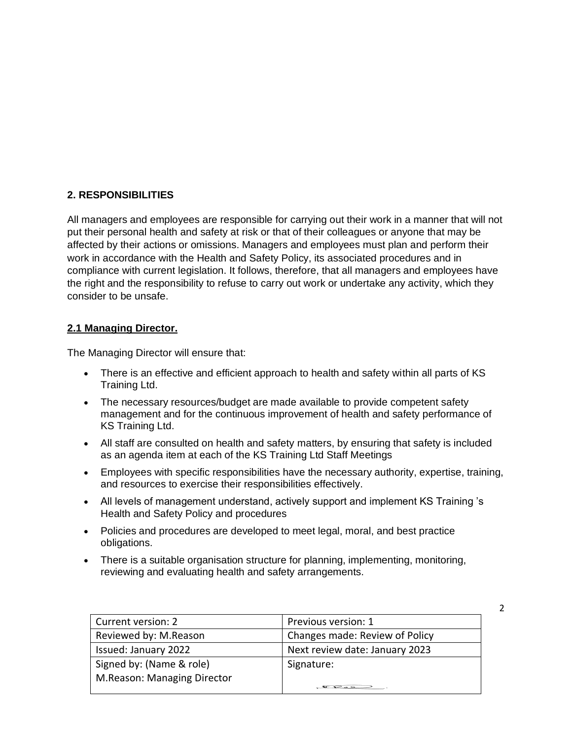#### **2. RESPONSIBILITIES**

All managers and employees are responsible for carrying out their work in a manner that will not put their personal health and safety at risk or that of their colleagues or anyone that may be affected by their actions or omissions. Managers and employees must plan and perform their work in accordance with the Health and Safety Policy, its associated procedures and in compliance with current legislation. It follows, therefore, that all managers and employees have the right and the responsibility to refuse to carry out work or undertake any activity, which they consider to be unsafe.

#### **2.1 Managing Director.**

The Managing Director will ensure that:

- There is an effective and efficient approach to health and safety within all parts of KS Training Ltd.
- The necessary resources/budget are made available to provide competent safety management and for the continuous improvement of health and safety performance of KS Training Ltd.
- All staff are consulted on health and safety matters, by ensuring that safety is included as an agenda item at each of the KS Training Ltd Staff Meetings
- Employees with specific responsibilities have the necessary authority, expertise, training, and resources to exercise their responsibilities effectively.
- All levels of management understand, actively support and implement KS Training 's Health and Safety Policy and procedures
- Policies and procedures are developed to meet legal, moral, and best practice obligations.
- There is a suitable organisation structure for planning, implementing, monitoring, reviewing and evaluating health and safety arrangements.

| Current version: 2          | Previous version: 1            |
|-----------------------------|--------------------------------|
| Reviewed by: M.Reason       | Changes made: Review of Policy |
| Issued: January 2022        | Next review date: January 2023 |
| Signed by: (Name & role)    | Signature:                     |
| M.Reason: Managing Director |                                |
|                             | $Q$ , $Q$ , $Q$ , $Q$          |

 $\mathfrak{D}$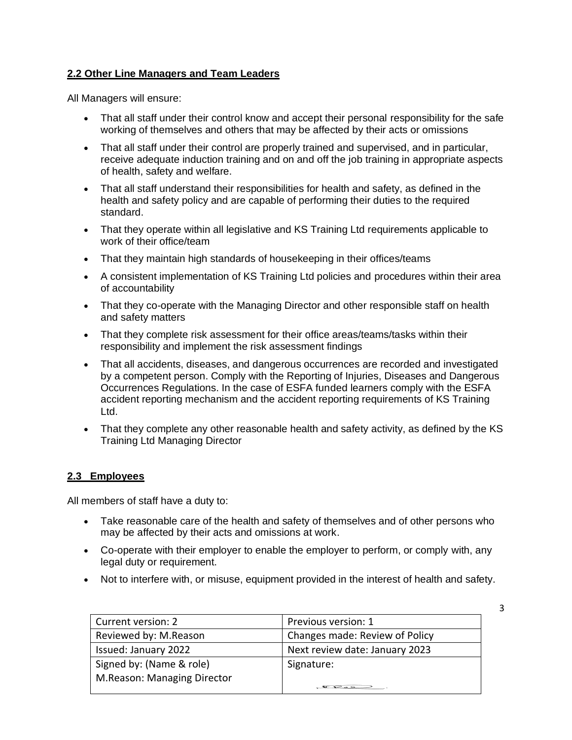# **2.2 Other Line Managers and Team Leaders**

All Managers will ensure:

- That all staff under their control know and accept their personal responsibility for the safe working of themselves and others that may be affected by their acts or omissions
- That all staff under their control are properly trained and supervised, and in particular, receive adequate induction training and on and off the job training in appropriate aspects of health, safety and welfare.
- That all staff understand their responsibilities for health and safety, as defined in the health and safety policy and are capable of performing their duties to the required standard.
- That they operate within all legislative and KS Training Ltd requirements applicable to work of their office/team
- That they maintain high standards of housekeeping in their offices/teams
- A consistent implementation of KS Training Ltd policies and procedures within their area of accountability
- That they co-operate with the Managing Director and other responsible staff on health and safety matters
- That they complete risk assessment for their office areas/teams/tasks within their responsibility and implement the risk assessment findings
- That all accidents, diseases, and dangerous occurrences are recorded and investigated by a competent person. Comply with the Reporting of Injuries, Diseases and Dangerous Occurrences Regulations. In the case of ESFA funded learners comply with the ESFA accident reporting mechanism and the accident reporting requirements of KS Training Ltd.
- That they complete any other reasonable health and safety activity, as defined by the KS Training Ltd Managing Director

#### **2.3 Employees**

All members of staff have a duty to:

- Take reasonable care of the health and safety of themselves and of other persons who may be affected by their acts and omissions at work.
- Co-operate with their employer to enable the employer to perform, or comply with, any legal duty or requirement.
- Not to interfere with, or misuse, equipment provided in the interest of health and safety.

| Current version: 2          | Previous version: 1            |
|-----------------------------|--------------------------------|
| Reviewed by: M.Reason       | Changes made: Review of Policy |
| Issued: January 2022        | Next review date: January 2023 |
| Signed by: (Name & role)    | Signature:                     |
| M.Reason: Managing Director |                                |
|                             |                                |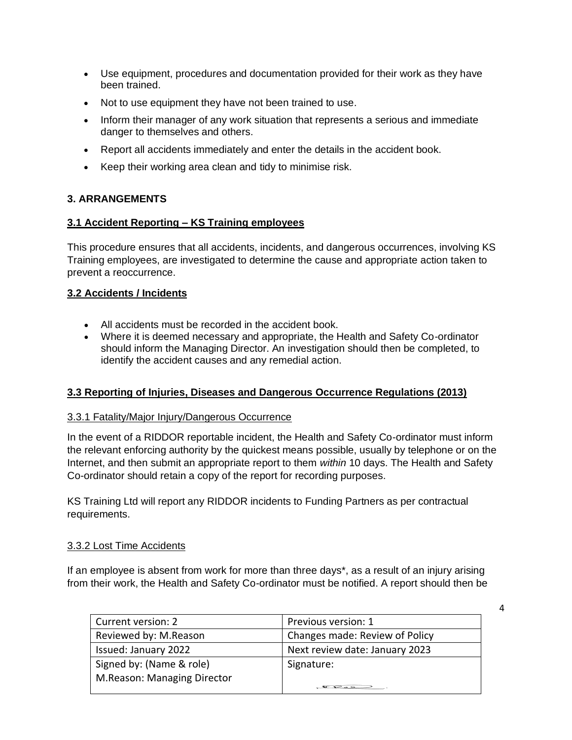- Use equipment, procedures and documentation provided for their work as they have been trained.
- Not to use equipment they have not been trained to use.
- Inform their manager of any work situation that represents a serious and immediate danger to themselves and others.
- Report all accidents immediately and enter the details in the accident book.
- Keep their working area clean and tidy to minimise risk.

# **3. ARRANGEMENTS**

# **3.1 Accident Reporting – KS Training employees**

This procedure ensures that all accidents, incidents, and dangerous occurrences, involving KS Training employees, are investigated to determine the cause and appropriate action taken to prevent a reoccurrence.

# **3.2 Accidents / Incidents**

- All accidents must be recorded in the accident book.
- Where it is deemed necessary and appropriate, the Health and Safety Co-ordinator should inform the Managing Director. An investigation should then be completed, to identify the accident causes and any remedial action.

# **3.3 Reporting of Injuries, Diseases and Dangerous Occurrence Regulations (2013)**

# 3.3.1 Fatality/Major Injury/Dangerous Occurrence

In the event of a RIDDOR reportable incident, the Health and Safety Co-ordinator must inform the relevant enforcing authority by the quickest means possible, usually by telephone or on the Internet, and then submit an appropriate report to them *within* 10 days. The Health and Safety Co-ordinator should retain a copy of the report for recording purposes.

KS Training Ltd will report any RIDDOR incidents to Funding Partners as per contractual requirements.

# 3.3.2 Lost Time Accidents

If an employee is absent from work for more than three days\*, as a result of an injury arising from their work, the Health and Safety Co-ordinator must be notified. A report should then be

| Current version: 2          | Previous version: 1                   |
|-----------------------------|---------------------------------------|
| Reviewed by: M.Reason       | Changes made: Review of Policy        |
| Issued: January 2022        | Next review date: January 2023        |
| Signed by: (Name & role)    | Signature:                            |
| M.Reason: Managing Director |                                       |
|                             | $\mathcal{L} \rightarrow \mathcal{L}$ |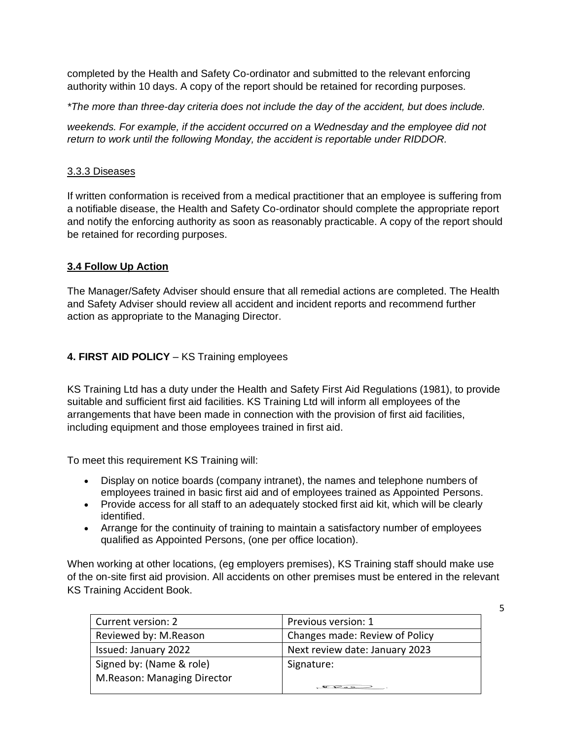completed by the Health and Safety Co-ordinator and submitted to the relevant enforcing authority within 10 days. A copy of the report should be retained for recording purposes.

*\*The more than three-day criteria does not include the day of the accident, but does include.*

*weekends. For example, if the accident occurred on a Wednesday and the employee did not return to work until the following Monday, the accident is reportable under RIDDOR.*

#### 3.3.3 Diseases

If written conformation is received from a medical practitioner that an employee is suffering from a notifiable disease, the Health and Safety Co-ordinator should complete the appropriate report and notify the enforcing authority as soon as reasonably practicable. A copy of the report should be retained for recording purposes.

# **3.4 Follow Up Action**

The Manager/Safety Adviser should ensure that all remedial actions are completed. The Health and Safety Adviser should review all accident and incident reports and recommend further action as appropriate to the Managing Director.

# **4. FIRST AID POLICY** – KS Training employees

KS Training Ltd has a duty under the Health and Safety First Aid Regulations (1981), to provide suitable and sufficient first aid facilities. KS Training Ltd will inform all employees of the arrangements that have been made in connection with the provision of first aid facilities, including equipment and those employees trained in first aid.

To meet this requirement KS Training will:

- Display on notice boards (company intranet), the names and telephone numbers of employees trained in basic first aid and of employees trained as Appointed Persons.
- Provide access for all staff to an adequately stocked first aid kit, which will be clearly identified.
- Arrange for the continuity of training to maintain a satisfactory number of employees qualified as Appointed Persons, (one per office location).

When working at other locations, (eg employers premises), KS Training staff should make use of the on-site first aid provision. All accidents on other premises must be entered in the relevant KS Training Accident Book.

| Current version: 2          | Previous version: 1            |
|-----------------------------|--------------------------------|
| Reviewed by: M.Reason       | Changes made: Review of Policy |
| Issued: January 2022        | Next review date: January 2023 |
| Signed by: (Name & role)    | Signature:                     |
| M.Reason: Managing Director |                                |
|                             |                                |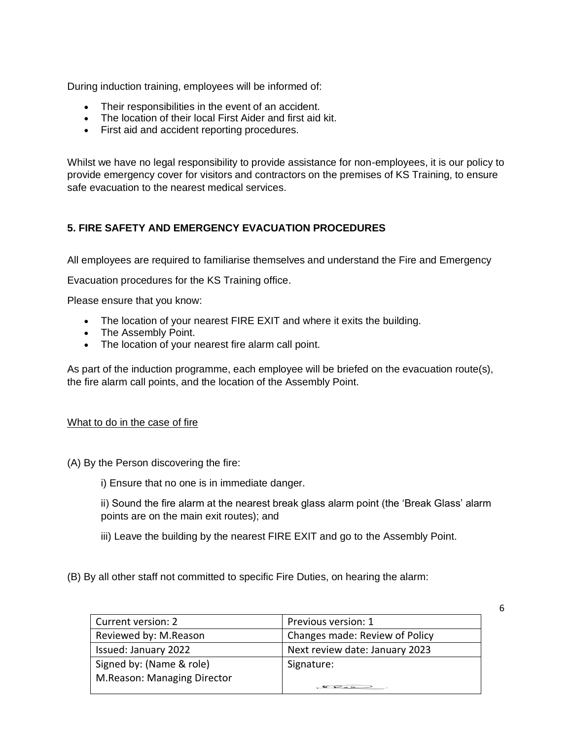During induction training, employees will be informed of:

- Their responsibilities in the event of an accident.
- The location of their local First Aider and first aid kit.
- First aid and accident reporting procedures.

Whilst we have no legal responsibility to provide assistance for non-employees, it is our policy to provide emergency cover for visitors and contractors on the premises of KS Training, to ensure safe evacuation to the nearest medical services.

# **5. FIRE SAFETY AND EMERGENCY EVACUATION PROCEDURES**

All employees are required to familiarise themselves and understand the Fire and Emergency

Evacuation procedures for the KS Training office.

Please ensure that you know:

- The location of your nearest FIRE EXIT and where it exits the building.
- The Assembly Point.
- The location of your nearest fire alarm call point.

As part of the induction programme, each employee will be briefed on the evacuation route(s), the fire alarm call points, and the location of the Assembly Point.

#### What to do in the case of fire

- (A) By the Person discovering the fire:
	- i) Ensure that no one is in immediate danger.
	- ii) Sound the fire alarm at the nearest break glass alarm point (the 'Break Glass' alarm points are on the main exit routes); and
	- iii) Leave the building by the nearest FIRE EXIT and go to the Assembly Point.

(B) By all other staff not committed to specific Fire Duties, on hearing the alarm:

| Current version: 2          | Previous version: 1            |
|-----------------------------|--------------------------------|
| Reviewed by: M.Reason       | Changes made: Review of Policy |
| Issued: January 2022        | Next review date: January 2023 |
| Signed by: (Name & role)    | Signature:                     |
| M.Reason: Managing Director |                                |
|                             |                                |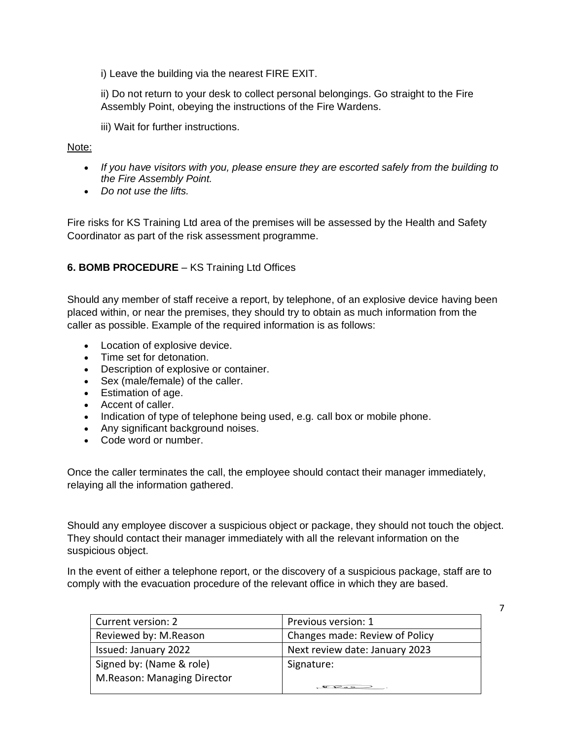i) Leave the building via the nearest FIRE EXIT.

ii) Do not return to your desk to collect personal belongings. Go straight to the Fire Assembly Point, obeying the instructions of the Fire Wardens.

iii) Wait for further instructions.

#### Note:

- *If you have visitors with you, please ensure they are escorted safely from the building to the Fire Assembly Point.*
- *Do not use the lifts.*

Fire risks for KS Training Ltd area of the premises will be assessed by the Health and Safety Coordinator as part of the risk assessment programme.

#### **6. BOMB PROCEDURE** – KS Training Ltd Offices

Should any member of staff receive a report, by telephone, of an explosive device having been placed within, or near the premises, they should try to obtain as much information from the caller as possible. Example of the required information is as follows:

- Location of explosive device.
- Time set for detonation.
- Description of explosive or container.
- Sex (male/female) of the caller.
- Estimation of age.
- Accent of caller.
- Indication of type of telephone being used, e.g. call box or mobile phone.
- Any significant background noises.
- Code word or number.

Once the caller terminates the call, the employee should contact their manager immediately, relaying all the information gathered.

Should any employee discover a suspicious object or package, they should not touch the object. They should contact their manager immediately with all the relevant information on the suspicious object.

In the event of either a telephone report, or the discovery of a suspicious package, staff are to comply with the evacuation procedure of the relevant office in which they are based.

| Current version: 2          | Previous version: 1            |
|-----------------------------|--------------------------------|
| Reviewed by: M.Reason       | Changes made: Review of Policy |
| Issued: January 2022        | Next review date: January 2023 |
| Signed by: (Name & role)    | Signature:                     |
| M.Reason: Managing Director |                                |
|                             |                                |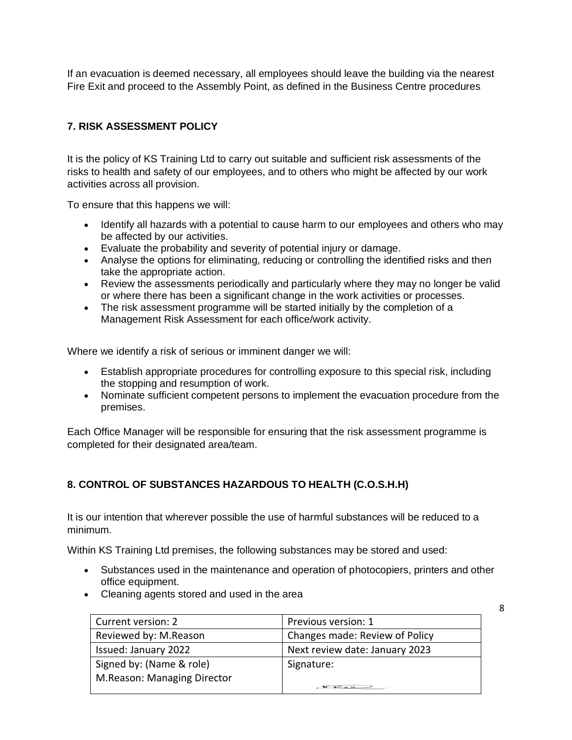If an evacuation is deemed necessary, all employees should leave the building via the nearest Fire Exit and proceed to the Assembly Point, as defined in the Business Centre procedures

# **7. RISK ASSESSMENT POLICY**

It is the policy of KS Training Ltd to carry out suitable and sufficient risk assessments of the risks to health and safety of our employees, and to others who might be affected by our work activities across all provision.

To ensure that this happens we will:

- Identify all hazards with a potential to cause harm to our employees and others who may be affected by our activities.
- Evaluate the probability and severity of potential injury or damage.
- Analyse the options for eliminating, reducing or controlling the identified risks and then take the appropriate action.
- Review the assessments periodically and particularly where they may no longer be valid or where there has been a significant change in the work activities or processes.
- The risk assessment programme will be started initially by the completion of a Management Risk Assessment for each office/work activity.

Where we identify a risk of serious or imminent danger we will:

- Establish appropriate procedures for controlling exposure to this special risk, including the stopping and resumption of work.
- Nominate sufficient competent persons to implement the evacuation procedure from the premises.

Each Office Manager will be responsible for ensuring that the risk assessment programme is completed for their designated area/team.

# **8. CONTROL OF SUBSTANCES HAZARDOUS TO HEALTH (C.O.S.H.H)**

It is our intention that wherever possible the use of harmful substances will be reduced to a minimum.

Within KS Training Ltd premises, the following substances may be stored and used:

- Substances used in the maintenance and operation of photocopiers, printers and other office equipment.
- Cleaning agents stored and used in the area

| Current version: 2          | Previous version: 1            |
|-----------------------------|--------------------------------|
| Reviewed by: M.Reason       | Changes made: Review of Policy |
| Issued: January 2022        | Next review date: January 2023 |
| Signed by: (Name & role)    | Signature:                     |
| M.Reason: Managing Director |                                |
|                             |                                |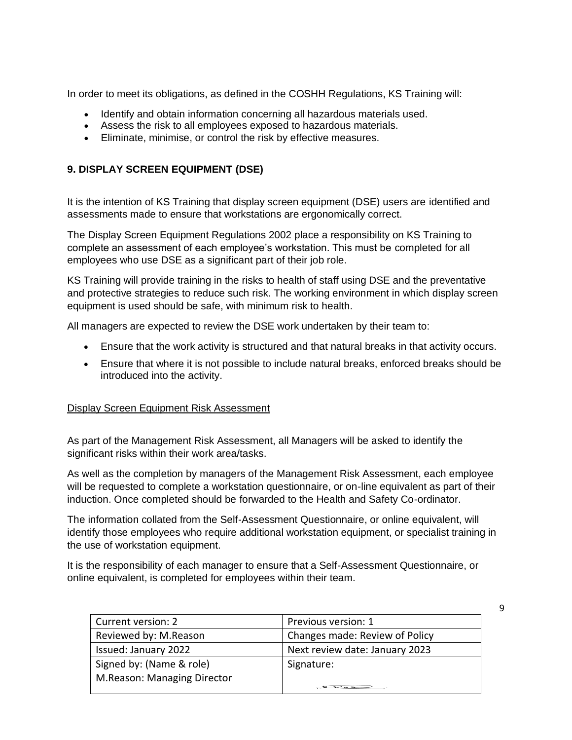In order to meet its obligations, as defined in the COSHH Regulations, KS Training will:

- Identify and obtain information concerning all hazardous materials used.
- Assess the risk to all employees exposed to hazardous materials.
- Eliminate, minimise, or control the risk by effective measures.

#### **9. DISPLAY SCREEN EQUIPMENT (DSE)**

It is the intention of KS Training that display screen equipment (DSE) users are identified and assessments made to ensure that workstations are ergonomically correct.

The Display Screen Equipment Regulations 2002 place a responsibility on KS Training to complete an assessment of each employee's workstation. This must be completed for all employees who use DSE as a significant part of their job role.

KS Training will provide training in the risks to health of staff using DSE and the preventative and protective strategies to reduce such risk. The working environment in which display screen equipment is used should be safe, with minimum risk to health.

All managers are expected to review the DSE work undertaken by their team to:

- Ensure that the work activity is structured and that natural breaks in that activity occurs.
- Ensure that where it is not possible to include natural breaks, enforced breaks should be introduced into the activity.

#### Display Screen Equipment Risk Assessment

As part of the Management Risk Assessment, all Managers will be asked to identify the significant risks within their work area/tasks.

As well as the completion by managers of the Management Risk Assessment, each employee will be requested to complete a workstation questionnaire, or on-line equivalent as part of their induction. Once completed should be forwarded to the Health and Safety Co-ordinator.

The information collated from the Self-Assessment Questionnaire, or online equivalent, will identify those employees who require additional workstation equipment, or specialist training in the use of workstation equipment.

It is the responsibility of each manager to ensure that a Self-Assessment Questionnaire, or online equivalent, is completed for employees within their team.

| Current version: 2          | Previous version: 1             |
|-----------------------------|---------------------------------|
| Reviewed by: M.Reason       | Changes made: Review of Policy  |
| Issued: January 2022        | Next review date: January 2023  |
| Signed by: (Name & role)    | Signature:                      |
| M.Reason: Managing Director |                                 |
|                             | $\mathcal{P} \circ \mathcal{P}$ |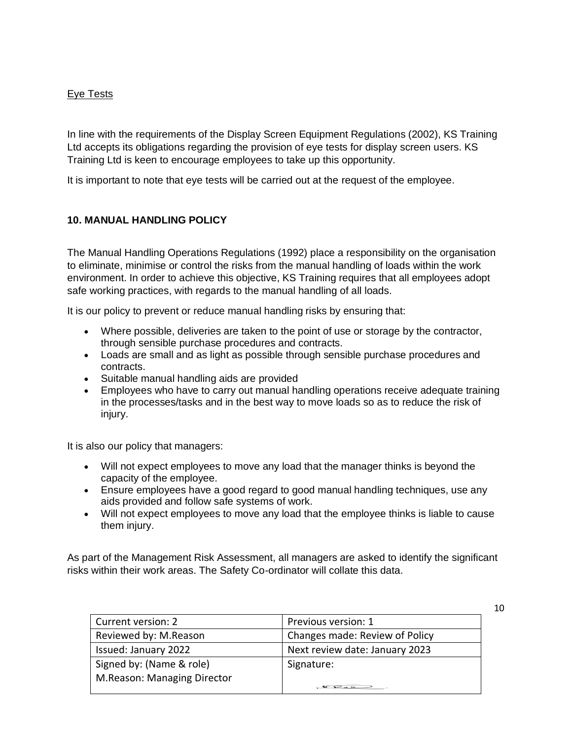#### Eye Tests

In line with the requirements of the Display Screen Equipment Regulations (2002), KS Training Ltd accepts its obligations regarding the provision of eye tests for display screen users. KS Training Ltd is keen to encourage employees to take up this opportunity.

It is important to note that eye tests will be carried out at the request of the employee.

# **10. MANUAL HANDLING POLICY**

The Manual Handling Operations Regulations (1992) place a responsibility on the organisation to eliminate, minimise or control the risks from the manual handling of loads within the work environment. In order to achieve this objective, KS Training requires that all employees adopt safe working practices, with regards to the manual handling of all loads.

It is our policy to prevent or reduce manual handling risks by ensuring that:

- Where possible, deliveries are taken to the point of use or storage by the contractor, through sensible purchase procedures and contracts.
- Loads are small and as light as possible through sensible purchase procedures and contracts.
- Suitable manual handling aids are provided
- Employees who have to carry out manual handling operations receive adequate training in the processes/tasks and in the best way to move loads so as to reduce the risk of injury.

It is also our policy that managers:

- Will not expect employees to move any load that the manager thinks is beyond the capacity of the employee.
- Ensure employees have a good regard to good manual handling techniques, use any aids provided and follow safe systems of work.
- Will not expect employees to move any load that the employee thinks is liable to cause them injury.

As part of the Management Risk Assessment, all managers are asked to identify the significant risks within their work areas. The Safety Co-ordinator will collate this data.

| Current version: 2          | Previous version: 1            |
|-----------------------------|--------------------------------|
| Reviewed by: M.Reason       | Changes made: Review of Policy |
| Issued: January 2022        | Next review date: January 2023 |
| Signed by: (Name & role)    | Signature:                     |
| M.Reason: Managing Director |                                |
|                             |                                |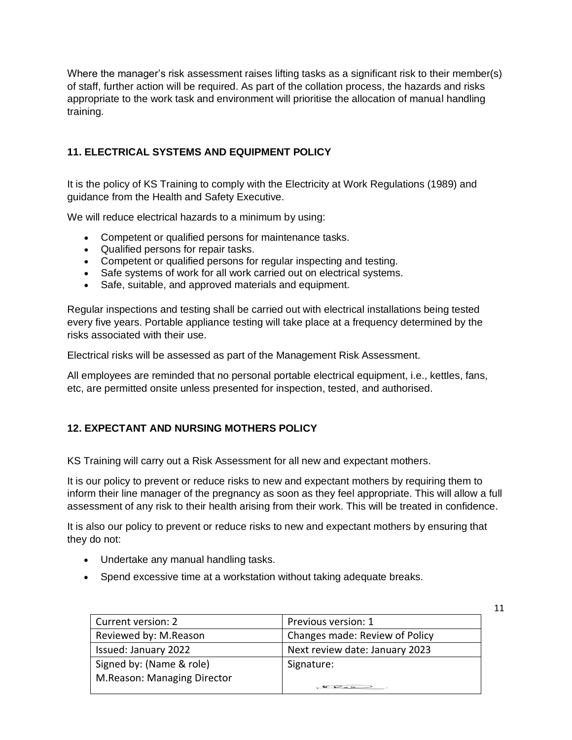Where the manager's risk assessment raises lifting tasks as a significant risk to their member(s) of staff, further action will be required. As part of the collation process, the hazards and risks appropriate to the work task and environment will prioritise the allocation of manual handling training.

# **11. ELECTRICAL SYSTEMS AND EQUIPMENT POLICY**

It is the policy of KS Training to comply with the Electricity at Work Regulations (1989) and guidance from the Health and Safety Executive.

We will reduce electrical hazards to a minimum by using:

- Competent or qualified persons for maintenance tasks.
- Qualified persons for repair tasks.
- Competent or qualified persons for regular inspecting and testing.
- Safe systems of work for all work carried out on electrical systems.
- Safe, suitable, and approved materials and equipment.

Regular inspections and testing shall be carried out with electrical installations being tested every five years. Portable appliance testing will take place at a frequency determined by the risks associated with their use.

Electrical risks will be assessed as part of the Management Risk Assessment.

All employees are reminded that no personal portable electrical equipment, i.e., kettles, fans, etc, are permitted onsite unless presented for inspection, tested, and authorised.

#### **12. EXPECTANT AND NURSING MOTHERS POLICY**

KS Training will carry out a Risk Assessment for all new and expectant mothers.

It is our policy to prevent or reduce risks to new and expectant mothers by requiring them to inform their line manager of the pregnancy as soon as they feel appropriate. This will allow a full assessment of any risk to their health arising from their work. This will be treated in confidence.

It is also our policy to prevent or reduce risks to new and expectant mothers by ensuring that they do not:

- Undertake any manual handling tasks.
- Spend excessive time at a workstation without taking adequate breaks.

| Current version: 2          | Previous version: 1            |
|-----------------------------|--------------------------------|
| Reviewed by: M.Reason       | Changes made: Review of Policy |
| Issued: January 2022        | Next review date: January 2023 |
| Signed by: (Name & role)    | Signature:                     |
| M.Reason: Managing Director |                                |
|                             | $\overline{\mathbf{P}}$        |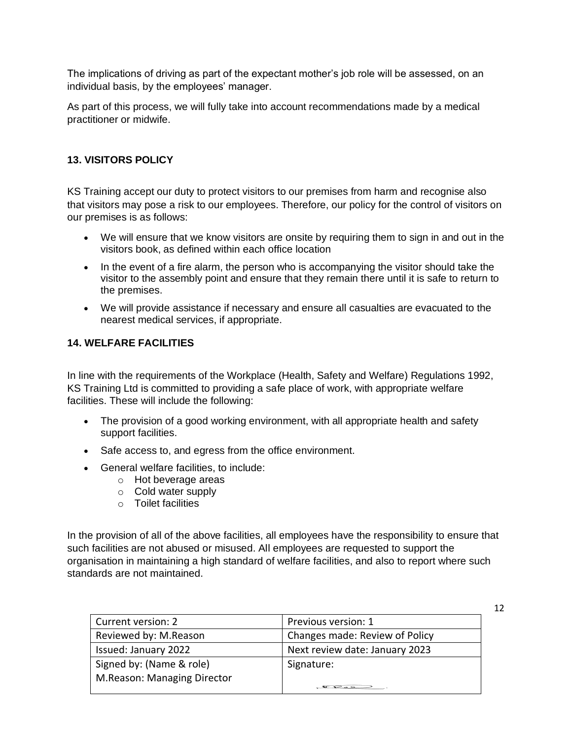The implications of driving as part of the expectant mother's job role will be assessed, on an individual basis, by the employees' manager.

As part of this process, we will fully take into account recommendations made by a medical practitioner or midwife.

# **13. VISITORS POLICY**

KS Training accept our duty to protect visitors to our premises from harm and recognise also that visitors may pose a risk to our employees. Therefore, our policy for the control of visitors on our premises is as follows:

- We will ensure that we know visitors are onsite by requiring them to sign in and out in the visitors book, as defined within each office location
- In the event of a fire alarm, the person who is accompanying the visitor should take the visitor to the assembly point and ensure that they remain there until it is safe to return to the premises.
- We will provide assistance if necessary and ensure all casualties are evacuated to the nearest medical services, if appropriate.

# **14. WELFARE FACILITIES**

In line with the requirements of the Workplace (Health, Safety and Welfare) Regulations 1992, KS Training Ltd is committed to providing a safe place of work, with appropriate welfare facilities. These will include the following:

- The provision of a good working environment, with all appropriate health and safety support facilities.
- Safe access to, and egress from the office environment.
- General welfare facilities, to include:
	- o Hot beverage areas
	- o Cold water supply
	- o Toilet facilities

In the provision of all of the above facilities, all employees have the responsibility to ensure that such facilities are not abused or misused. All employees are requested to support the organisation in maintaining a high standard of welfare facilities, and also to report where such standards are not maintained.

| Current version: 2          | Previous version: 1            |
|-----------------------------|--------------------------------|
| Reviewed by: M.Reason       | Changes made: Review of Policy |
| Issued: January 2022        | Next review date: January 2023 |
| Signed by: (Name & role)    | Signature:                     |
| M.Reason: Managing Director |                                |
|                             |                                |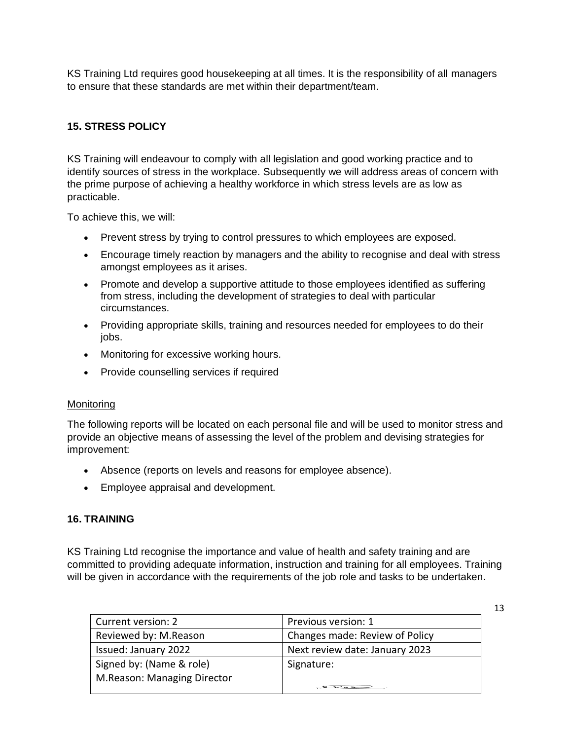KS Training Ltd requires good housekeeping at all times. It is the responsibility of all managers to ensure that these standards are met within their department/team.

# **15. STRESS POLICY**

KS Training will endeavour to comply with all legislation and good working practice and to identify sources of stress in the workplace. Subsequently we will address areas of concern with the prime purpose of achieving a healthy workforce in which stress levels are as low as practicable.

To achieve this, we will:

- Prevent stress by trying to control pressures to which employees are exposed.
- Encourage timely reaction by managers and the ability to recognise and deal with stress amongst employees as it arises.
- Promote and develop a supportive attitude to those employees identified as suffering from stress, including the development of strategies to deal with particular circumstances.
- Providing appropriate skills, training and resources needed for employees to do their jobs.
- Monitoring for excessive working hours.
- Provide counselling services if required

#### Monitoring

The following reports will be located on each personal file and will be used to monitor stress and provide an objective means of assessing the level of the problem and devising strategies for improvement:

- Absence (reports on levels and reasons for employee absence).
- Employee appraisal and development.

#### **16. TRAINING**

KS Training Ltd recognise the importance and value of health and safety training and are committed to providing adequate information, instruction and training for all employees. Training will be given in accordance with the requirements of the job role and tasks to be undertaken.

| Current version: 2          | Previous version: 1            |
|-----------------------------|--------------------------------|
| Reviewed by: M.Reason       | Changes made: Review of Policy |
| Issued: January 2022        | Next review date: January 2023 |
| Signed by: (Name & role)    | Signature:                     |
| M.Reason: Managing Director |                                |
|                             |                                |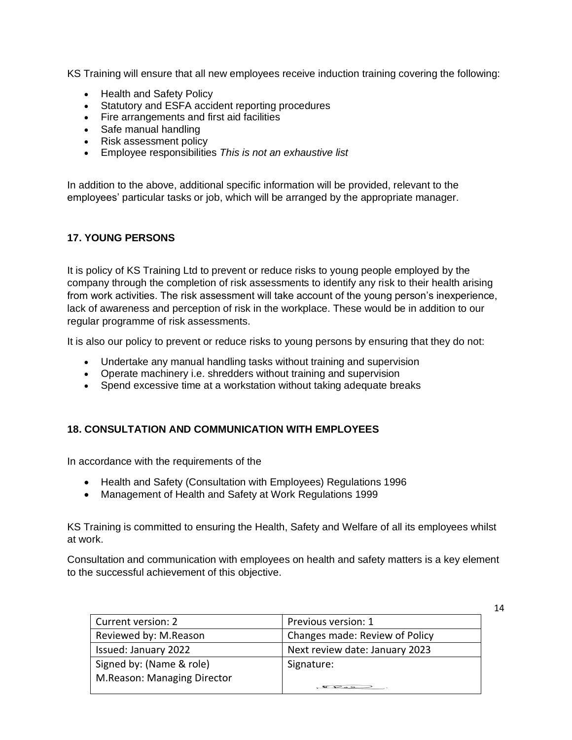KS Training will ensure that all new employees receive induction training covering the following:

- Health and Safety Policy
- Statutory and ESFA accident reporting procedures
- Fire arrangements and first aid facilities
- Safe manual handling
- Risk assessment policy
- Employee responsibilities *This is not an exhaustive list*

In addition to the above, additional specific information will be provided, relevant to the employees' particular tasks or job, which will be arranged by the appropriate manager.

#### **17. YOUNG PERSONS**

It is policy of KS Training Ltd to prevent or reduce risks to young people employed by the company through the completion of risk assessments to identify any risk to their health arising from work activities. The risk assessment will take account of the young person's inexperience, lack of awareness and perception of risk in the workplace. These would be in addition to our regular programme of risk assessments.

It is also our policy to prevent or reduce risks to young persons by ensuring that they do not:

- Undertake any manual handling tasks without training and supervision
- Operate machinery i.e. shredders without training and supervision
- Spend excessive time at a workstation without taking adequate breaks

#### **18. CONSULTATION AND COMMUNICATION WITH EMPLOYEES**

In accordance with the requirements of the

- Health and Safety (Consultation with Employees) Regulations 1996
- Management of Health and Safety at Work Regulations 1999

KS Training is committed to ensuring the Health, Safety and Welfare of all its employees whilst at work.

Consultation and communication with employees on health and safety matters is a key element to the successful achievement of this objective.

| Current version: 2          | Previous version: 1            |
|-----------------------------|--------------------------------|
| Reviewed by: M.Reason       | Changes made: Review of Policy |
| Issued: January 2022        | Next review date: January 2023 |
| Signed by: (Name & role)    | Signature:                     |
| M.Reason: Managing Director |                                |
|                             |                                |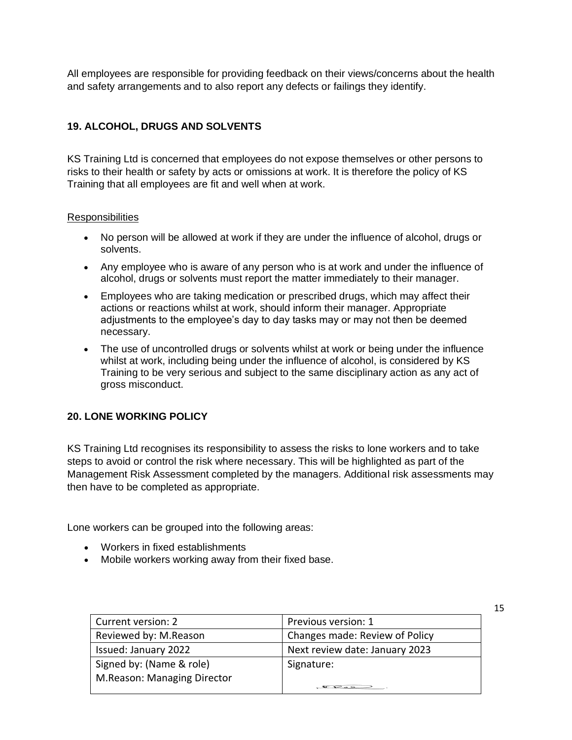All employees are responsible for providing feedback on their views/concerns about the health and safety arrangements and to also report any defects or failings they identify.

# **19. ALCOHOL, DRUGS AND SOLVENTS**

KS Training Ltd is concerned that employees do not expose themselves or other persons to risks to their health or safety by acts or omissions at work. It is therefore the policy of KS Training that all employees are fit and well when at work.

#### **Responsibilities**

- No person will be allowed at work if they are under the influence of alcohol, drugs or solvents.
- Any employee who is aware of any person who is at work and under the influence of alcohol, drugs or solvents must report the matter immediately to their manager.
- Employees who are taking medication or prescribed drugs, which may affect their actions or reactions whilst at work, should inform their manager. Appropriate adjustments to the employee's day to day tasks may or may not then be deemed necessary.
- The use of uncontrolled drugs or solvents whilst at work or being under the influence whilst at work, including being under the influence of alcohol, is considered by KS Training to be very serious and subject to the same disciplinary action as any act of gross misconduct.

#### **20. LONE WORKING POLICY**

KS Training Ltd recognises its responsibility to assess the risks to lone workers and to take steps to avoid or control the risk where necessary. This will be highlighted as part of the Management Risk Assessment completed by the managers. Additional risk assessments may then have to be completed as appropriate.

Lone workers can be grouped into the following areas:

- Workers in fixed establishments
- Mobile workers working away from their fixed base.

| Current version: 2          | Previous version: 1            |
|-----------------------------|--------------------------------|
| Reviewed by: M.Reason       | Changes made: Review of Policy |
| Issued: January 2022        | Next review date: January 2023 |
| Signed by: (Name & role)    | Signature:                     |
| M.Reason: Managing Director |                                |
|                             |                                |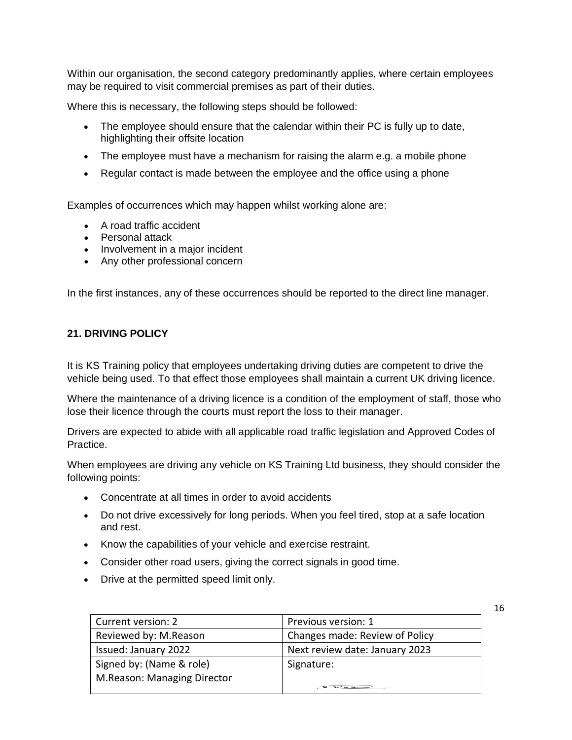Within our organisation, the second category predominantly applies, where certain employees may be required to visit commercial premises as part of their duties.

Where this is necessary, the following steps should be followed:

- The employee should ensure that the calendar within their PC is fully up to date, highlighting their offsite location
- The employee must have a mechanism for raising the alarm e.g. a mobile phone
- Regular contact is made between the employee and the office using a phone

Examples of occurrences which may happen whilst working alone are:

- A road traffic accident
- Personal attack
- Involvement in a major incident
- Any other professional concern

In the first instances, any of these occurrences should be reported to the direct line manager.

#### **21. DRIVING POLICY**

It is KS Training policy that employees undertaking driving duties are competent to drive the vehicle being used. To that effect those employees shall maintain a current UK driving licence.

Where the maintenance of a driving licence is a condition of the employment of staff, those who lose their licence through the courts must report the loss to their manager.

Drivers are expected to abide with all applicable road traffic legislation and Approved Codes of Practice.

When employees are driving any vehicle on KS Training Ltd business, they should consider the following points:

- Concentrate at all times in order to avoid accidents
- Do not drive excessively for long periods. When you feel tired, stop at a safe location and rest.
- Know the capabilities of your vehicle and exercise restraint.
- Consider other road users, giving the correct signals in good time.
- Drive at the permitted speed limit only.

| Current version: 2          | Previous version: 1            |
|-----------------------------|--------------------------------|
| Reviewed by: M.Reason       | Changes made: Review of Policy |
| Issued: January 2022        | Next review date: January 2023 |
| Signed by: (Name & role)    | Signature:                     |
| M.Reason: Managing Director |                                |
|                             |                                |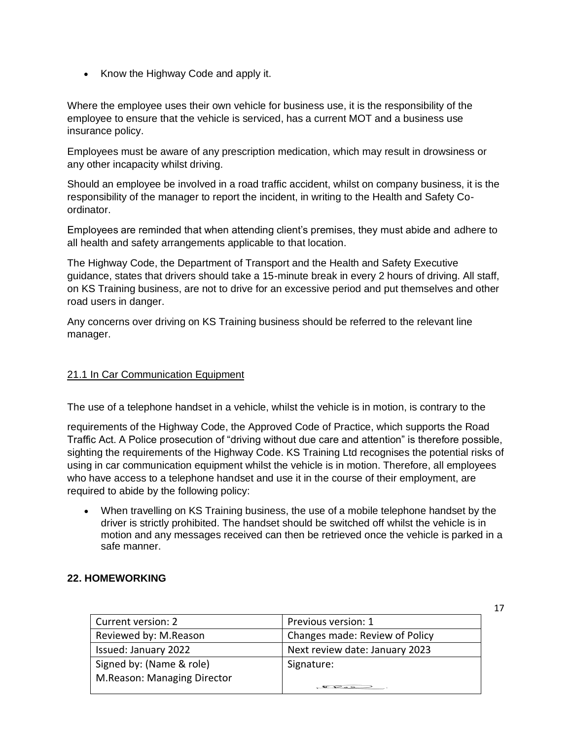• Know the Highway Code and apply it.

Where the employee uses their own vehicle for business use, it is the responsibility of the employee to ensure that the vehicle is serviced, has a current MOT and a business use insurance policy.

Employees must be aware of any prescription medication, which may result in drowsiness or any other incapacity whilst driving.

Should an employee be involved in a road traffic accident, whilst on company business, it is the responsibility of the manager to report the incident, in writing to the Health and Safety Coordinator.

Employees are reminded that when attending client's premises, they must abide and adhere to all health and safety arrangements applicable to that location.

The Highway Code, the Department of Transport and the Health and Safety Executive guidance, states that drivers should take a 15-minute break in every 2 hours of driving. All staff, on KS Training business, are not to drive for an excessive period and put themselves and other road users in danger.

Any concerns over driving on KS Training business should be referred to the relevant line manager.

#### 21.1 In Car Communication Equipment

The use of a telephone handset in a vehicle, whilst the vehicle is in motion, is contrary to the

requirements of the Highway Code, the Approved Code of Practice, which supports the Road Traffic Act. A Police prosecution of "driving without due care and attention" is therefore possible, sighting the requirements of the Highway Code. KS Training Ltd recognises the potential risks of using in car communication equipment whilst the vehicle is in motion. Therefore, all employees who have access to a telephone handset and use it in the course of their employment, are required to abide by the following policy:

• When travelling on KS Training business, the use of a mobile telephone handset by the driver is strictly prohibited. The handset should be switched off whilst the vehicle is in motion and any messages received can then be retrieved once the vehicle is parked in a safe manner.

#### **22. HOMEWORKING**

| Current version: 2          | Previous version: 1            |
|-----------------------------|--------------------------------|
| Reviewed by: M.Reason       | Changes made: Review of Policy |
| Issued: January 2022        | Next review date: January 2023 |
| Signed by: (Name & role)    | Signature:                     |
| M.Reason: Managing Director |                                |
|                             |                                |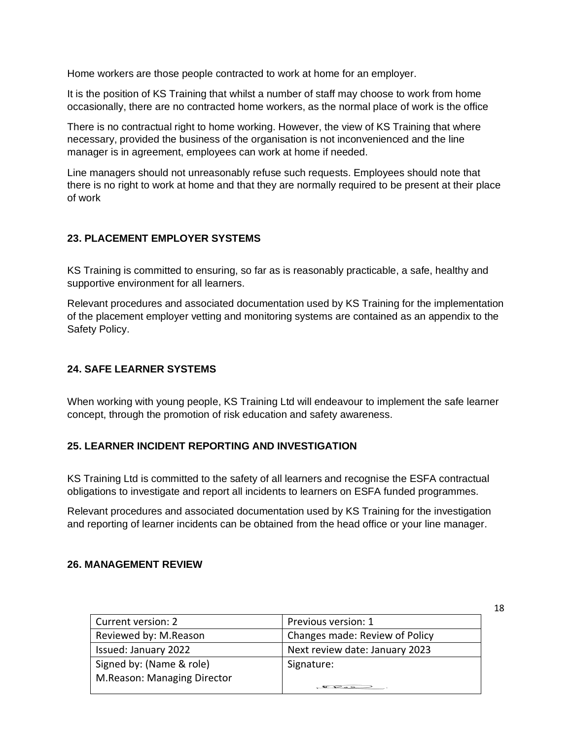Home workers are those people contracted to work at home for an employer.

It is the position of KS Training that whilst a number of staff may choose to work from home occasionally, there are no contracted home workers, as the normal place of work is the office

There is no contractual right to home working. However, the view of KS Training that where necessary, provided the business of the organisation is not inconvenienced and the line manager is in agreement, employees can work at home if needed.

Line managers should not unreasonably refuse such requests. Employees should note that there is no right to work at home and that they are normally required to be present at their place of work

#### **23. PLACEMENT EMPLOYER SYSTEMS**

KS Training is committed to ensuring, so far as is reasonably practicable, a safe, healthy and supportive environment for all learners.

Relevant procedures and associated documentation used by KS Training for the implementation of the placement employer vetting and monitoring systems are contained as an appendix to the Safety Policy.

#### **24. SAFE LEARNER SYSTEMS**

When working with young people, KS Training Ltd will endeavour to implement the safe learner concept, through the promotion of risk education and safety awareness.

#### **25. LEARNER INCIDENT REPORTING AND INVESTIGATION**

KS Training Ltd is committed to the safety of all learners and recognise the ESFA contractual obligations to investigate and report all incidents to learners on ESFA funded programmes.

Relevant procedures and associated documentation used by KS Training for the investigation and reporting of learner incidents can be obtained from the head office or your line manager.

#### **26. MANAGEMENT REVIEW**

| Current version: 2          | Previous version: 1            |
|-----------------------------|--------------------------------|
| Reviewed by: M.Reason       | Changes made: Review of Policy |
| Issued: January 2022        | Next review date: January 2023 |
| Signed by: (Name & role)    | Signature:                     |
| M.Reason: Managing Director |                                |
|                             |                                |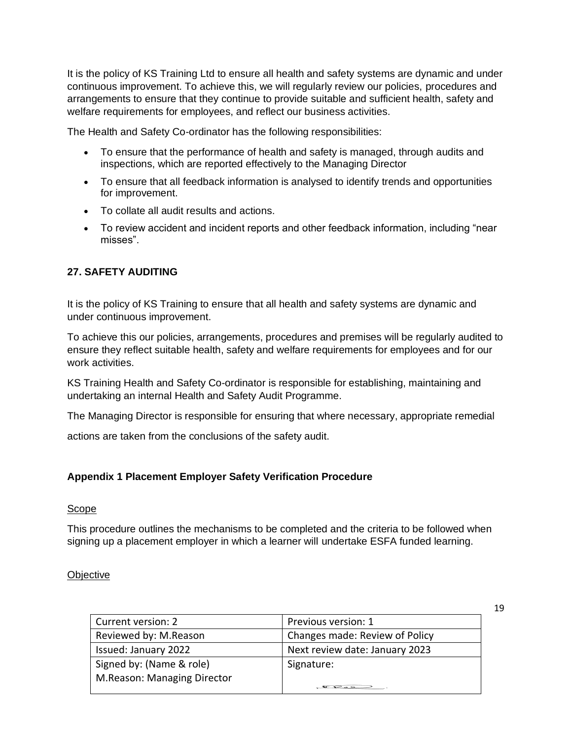It is the policy of KS Training Ltd to ensure all health and safety systems are dynamic and under continuous improvement. To achieve this, we will regularly review our policies, procedures and arrangements to ensure that they continue to provide suitable and sufficient health, safety and welfare requirements for employees, and reflect our business activities.

The Health and Safety Co-ordinator has the following responsibilities:

- To ensure that the performance of health and safety is managed, through audits and inspections, which are reported effectively to the Managing Director
- To ensure that all feedback information is analysed to identify trends and opportunities for improvement.
- To collate all audit results and actions.
- To review accident and incident reports and other feedback information, including "near misses".

#### **27. SAFETY AUDITING**

It is the policy of KS Training to ensure that all health and safety systems are dynamic and under continuous improvement.

To achieve this our policies, arrangements, procedures and premises will be regularly audited to ensure they reflect suitable health, safety and welfare requirements for employees and for our work activities.

KS Training Health and Safety Co-ordinator is responsible for establishing, maintaining and undertaking an internal Health and Safety Audit Programme.

The Managing Director is responsible for ensuring that where necessary, appropriate remedial

actions are taken from the conclusions of the safety audit.

#### **Appendix 1 Placement Employer Safety Verification Procedure**

#### **Scope**

This procedure outlines the mechanisms to be completed and the criteria to be followed when signing up a placement employer in which a learner will undertake ESFA funded learning.

#### **Objective**

| Current version: 2          | Previous version: 1            |
|-----------------------------|--------------------------------|
| Reviewed by: M.Reason       | Changes made: Review of Policy |
| Issued: January 2022        | Next review date: January 2023 |
| Signed by: (Name & role)    | Signature:                     |
| M.Reason: Managing Director |                                |
|                             |                                |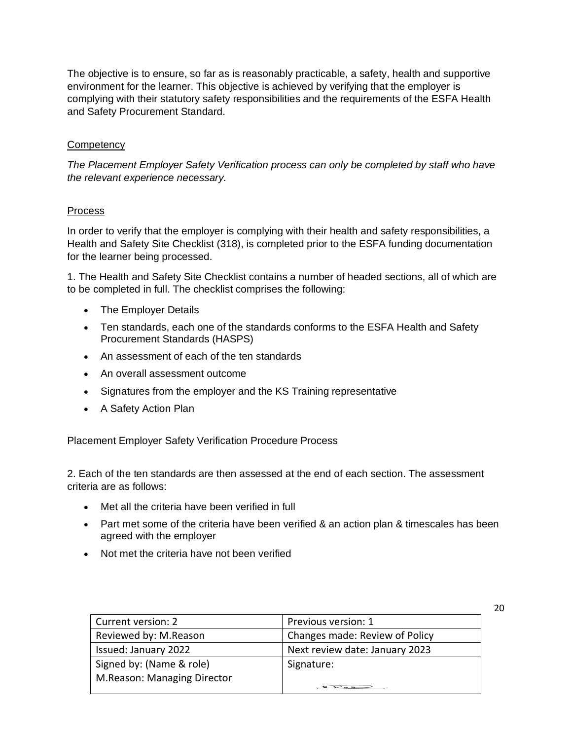The objective is to ensure, so far as is reasonably practicable, a safety, health and supportive environment for the learner. This objective is achieved by verifying that the employer is complying with their statutory safety responsibilities and the requirements of the ESFA Health and Safety Procurement Standard.

#### **Competency**

*The Placement Employer Safety Verification process can only be completed by staff who have the relevant experience necessary.*

#### Process

In order to verify that the employer is complying with their health and safety responsibilities, a Health and Safety Site Checklist (318), is completed prior to the ESFA funding documentation for the learner being processed.

1. The Health and Safety Site Checklist contains a number of headed sections, all of which are to be completed in full. The checklist comprises the following:

- The Employer Details
- Ten standards, each one of the standards conforms to the ESFA Health and Safety Procurement Standards (HASPS)
- An assessment of each of the ten standards
- An overall assessment outcome
- Signatures from the employer and the KS Training representative
- A Safety Action Plan

Placement Employer Safety Verification Procedure Process

2. Each of the ten standards are then assessed at the end of each section. The assessment criteria are as follows:

- Met all the criteria have been verified in full
- Part met some of the criteria have been verified & an action plan & timescales has been agreed with the employer
- Not met the criteria have not been verified

| Current version: 2          | Previous version: 1            |
|-----------------------------|--------------------------------|
| Reviewed by: M.Reason       | Changes made: Review of Policy |
| <b>Issued: January 2022</b> | Next review date: January 2023 |
| Signed by: (Name & role)    | Signature:                     |
| M.Reason: Managing Director |                                |
|                             |                                |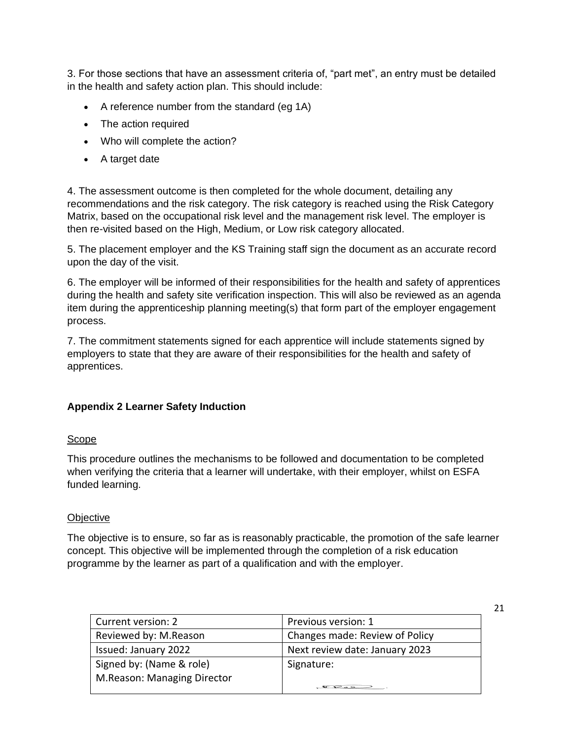3. For those sections that have an assessment criteria of, "part met", an entry must be detailed in the health and safety action plan. This should include:

- A reference number from the standard (eg 1A)
- The action required
- Who will complete the action?
- A target date

4. The assessment outcome is then completed for the whole document, detailing any recommendations and the risk category. The risk category is reached using the Risk Category Matrix, based on the occupational risk level and the management risk level. The employer is then re-visited based on the High, Medium, or Low risk category allocated.

5. The placement employer and the KS Training staff sign the document as an accurate record upon the day of the visit.

6. The employer will be informed of their responsibilities for the health and safety of apprentices during the health and safety site verification inspection. This will also be reviewed as an agenda item during the apprenticeship planning meeting(s) that form part of the employer engagement process.

7. The commitment statements signed for each apprentice will include statements signed by employers to state that they are aware of their responsibilities for the health and safety of apprentices.

#### **Appendix 2 Learner Safety Induction**

#### Scope

This procedure outlines the mechanisms to be followed and documentation to be completed when verifying the criteria that a learner will undertake, with their employer, whilst on ESFA funded learning.

#### **Objective**

The objective is to ensure, so far as is reasonably practicable, the promotion of the safe learner concept. This objective will be implemented through the completion of a risk education programme by the learner as part of a qualification and with the employer.

| Current version: 2          | Previous version: 1            |
|-----------------------------|--------------------------------|
| Reviewed by: M.Reason       | Changes made: Review of Policy |
| Issued: January 2022        | Next review date: January 2023 |
| Signed by: (Name & role)    | Signature:                     |
| M.Reason: Managing Director |                                |
|                             |                                |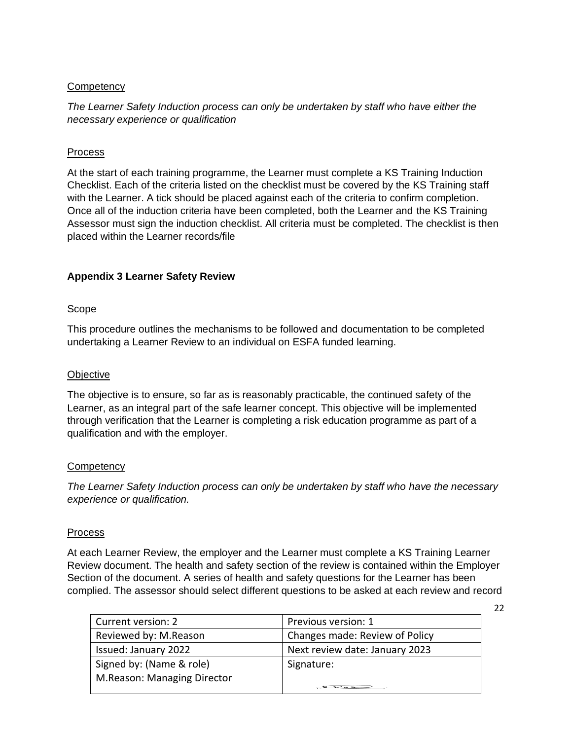#### **Competency**

*The Learner Safety Induction process can only be undertaken by staff who have either the necessary experience or qualification*

#### Process

At the start of each training programme, the Learner must complete a KS Training Induction Checklist. Each of the criteria listed on the checklist must be covered by the KS Training staff with the Learner. A tick should be placed against each of the criteria to confirm completion. Once all of the induction criteria have been completed, both the Learner and the KS Training Assessor must sign the induction checklist. All criteria must be completed. The checklist is then placed within the Learner records/file

#### **Appendix 3 Learner Safety Review**

#### Scope

This procedure outlines the mechanisms to be followed and documentation to be completed undertaking a Learner Review to an individual on ESFA funded learning.

#### **Objective**

The objective is to ensure, so far as is reasonably practicable, the continued safety of the Learner, as an integral part of the safe learner concept. This objective will be implemented through verification that the Learner is completing a risk education programme as part of a qualification and with the employer.

#### **Competency**

*The Learner Safety Induction process can only be undertaken by staff who have the necessary experience or qualification.*

#### Process

At each Learner Review, the employer and the Learner must complete a KS Training Learner Review document. The health and safety section of the review is contained within the Employer Section of the document. A series of health and safety questions for the Learner has been complied. The assessor should select different questions to be asked at each review and record

| Current version: 2          | Previous version: 1            |
|-----------------------------|--------------------------------|
| Reviewed by: M.Reason       | Changes made: Review of Policy |
| Issued: January 2022        | Next review date: January 2023 |
| Signed by: (Name & role)    | Signature:                     |
| M.Reason: Managing Director |                                |
|                             | $\sigma$ $\sigma$              |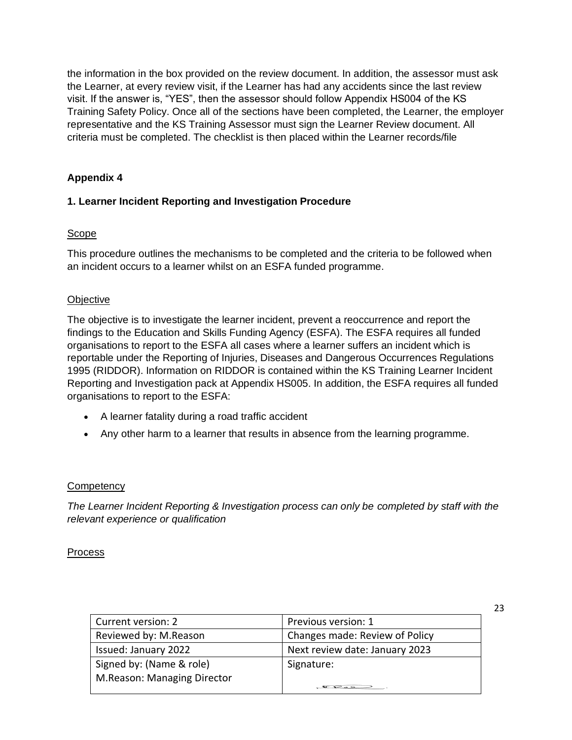the information in the box provided on the review document. In addition, the assessor must ask the Learner, at every review visit, if the Learner has had any accidents since the last review visit. If the answer is, "YES", then the assessor should follow Appendix HS004 of the KS Training Safety Policy. Once all of the sections have been completed, the Learner, the employer representative and the KS Training Assessor must sign the Learner Review document. All criteria must be completed. The checklist is then placed within the Learner records/file

# **Appendix 4**

# **1. Learner Incident Reporting and Investigation Procedure**

# Scope

This procedure outlines the mechanisms to be completed and the criteria to be followed when an incident occurs to a learner whilst on an ESFA funded programme.

#### **Objective**

The objective is to investigate the learner incident, prevent a reoccurrence and report the findings to the Education and Skills Funding Agency (ESFA). The ESFA requires all funded organisations to report to the ESFA all cases where a learner suffers an incident which is reportable under the Reporting of Injuries, Diseases and Dangerous Occurrences Regulations 1995 (RIDDOR). Information on RIDDOR is contained within the KS Training Learner Incident Reporting and Investigation pack at Appendix HS005. In addition, the ESFA requires all funded organisations to report to the ESFA:

- A learner fatality during a road traffic accident
- Any other harm to a learner that results in absence from the learning programme.

# **Competency**

*The Learner Incident Reporting & Investigation process can only be completed by staff with the relevant experience or qualification*

#### Process

| Current version: 2          | Previous version: 1            |
|-----------------------------|--------------------------------|
| Reviewed by: M.Reason       | Changes made: Review of Policy |
| Issued: January 2022        | Next review date: January 2023 |
| Signed by: (Name & role)    | Signature:                     |
| M.Reason: Managing Director |                                |
|                             |                                |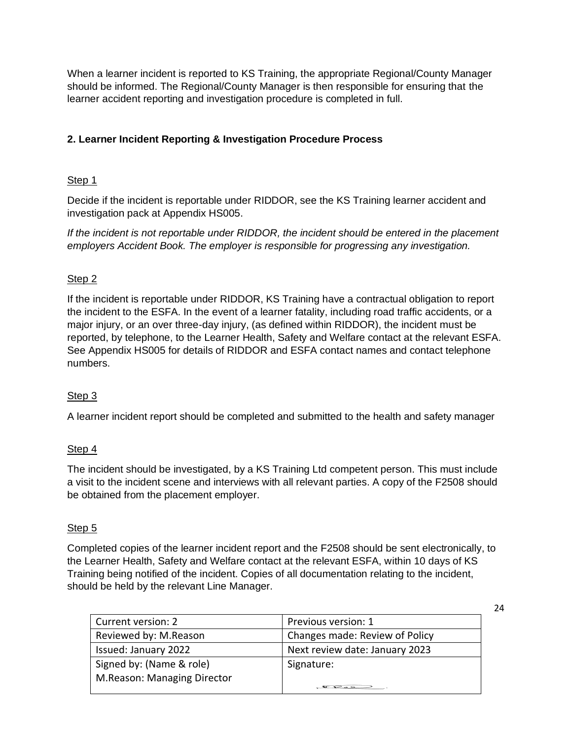When a learner incident is reported to KS Training, the appropriate Regional/County Manager should be informed. The Regional/County Manager is then responsible for ensuring that the learner accident reporting and investigation procedure is completed in full.

# **2. Learner Incident Reporting & Investigation Procedure Process**

# Step 1

Decide if the incident is reportable under RIDDOR, see the KS Training learner accident and investigation pack at Appendix HS005.

*If the incident is not reportable under RIDDOR, the incident should be entered in the placement employers Accident Book. The employer is responsible for progressing any investigation.*

# Step 2

If the incident is reportable under RIDDOR, KS Training have a contractual obligation to report the incident to the ESFA. In the event of a learner fatality, including road traffic accidents, or a major injury, or an over three-day injury, (as defined within RIDDOR), the incident must be reported, by telephone, to the Learner Health, Safety and Welfare contact at the relevant ESFA. See Appendix HS005 for details of RIDDOR and ESFA contact names and contact telephone numbers.

# Step 3

A learner incident report should be completed and submitted to the health and safety manager

# Step 4

The incident should be investigated, by a KS Training Ltd competent person. This must include a visit to the incident scene and interviews with all relevant parties. A copy of the F2508 should be obtained from the placement employer.

# Step 5

Completed copies of the learner incident report and the F2508 should be sent electronically, to the Learner Health, Safety and Welfare contact at the relevant ESFA, within 10 days of KS Training being notified of the incident. Copies of all documentation relating to the incident, should be held by the relevant Line Manager.

| Current version: 2          | Previous version: 1            |
|-----------------------------|--------------------------------|
| Reviewed by: M.Reason       | Changes made: Review of Policy |
| Issued: January 2022        | Next review date: January 2023 |
| Signed by: (Name & role)    | Signature:                     |
| M.Reason: Managing Director |                                |
|                             | $\sum_{i=1}^{n}$               |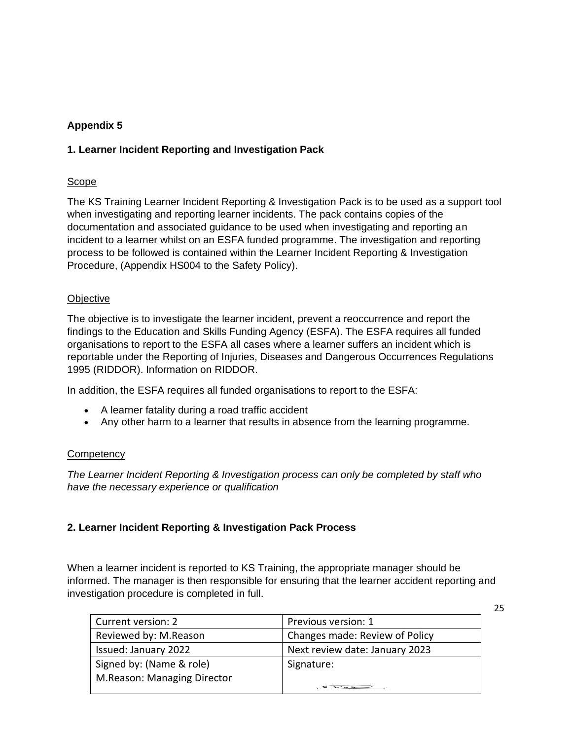# **Appendix 5**

# **1. Learner Incident Reporting and Investigation Pack**

#### Scope

The KS Training Learner Incident Reporting & Investigation Pack is to be used as a support tool when investigating and reporting learner incidents. The pack contains copies of the documentation and associated guidance to be used when investigating and reporting an incident to a learner whilst on an ESFA funded programme. The investigation and reporting process to be followed is contained within the Learner Incident Reporting & Investigation Procedure, (Appendix HS004 to the Safety Policy).

#### **Objective**

The objective is to investigate the learner incident, prevent a reoccurrence and report the findings to the Education and Skills Funding Agency (ESFA). The ESFA requires all funded organisations to report to the ESFA all cases where a learner suffers an incident which is reportable under the Reporting of Injuries, Diseases and Dangerous Occurrences Regulations 1995 (RIDDOR). Information on RIDDOR.

In addition, the ESFA requires all funded organisations to report to the ESFA:

- A learner fatality during a road traffic accident
- Any other harm to a learner that results in absence from the learning programme.

# **Competency**

*The Learner Incident Reporting & Investigation process can only be completed by staff who have the necessary experience or qualification*

# **2. Learner Incident Reporting & Investigation Pack Process**

When a learner incident is reported to KS Training, the appropriate manager should be informed. The manager is then responsible for ensuring that the learner accident reporting and investigation procedure is completed in full.

| Current version: 2          | Previous version: 1                                     |
|-----------------------------|---------------------------------------------------------|
| Reviewed by: M.Reason       | Changes made: Review of Policy                          |
| Issued: January 2022        | Next review date: January 2023                          |
| Signed by: (Name & role)    | Signature:                                              |
| M.Reason: Managing Director |                                                         |
|                             | $\mathcal{L}$ $\mathcal{L}$ $\rightarrow$ $\mathcal{L}$ |